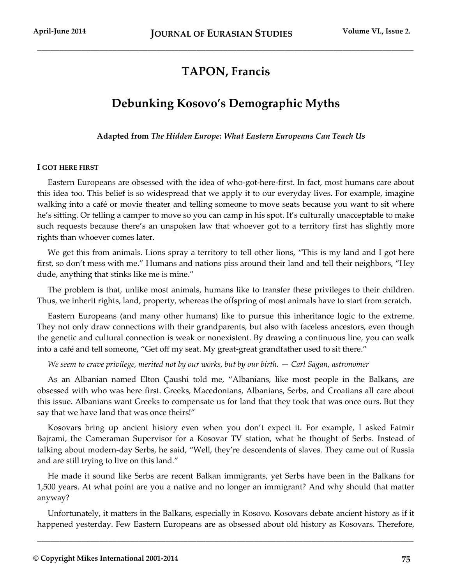# **TAPON, Francis**

\_\_\_\_\_\_\_\_\_\_\_\_\_\_\_\_\_\_\_\_\_\_\_\_\_\_\_\_\_\_\_\_\_\_\_\_\_\_\_\_\_\_\_\_\_\_\_\_\_\_\_\_\_\_\_\_\_\_\_\_\_\_\_\_\_\_\_\_\_\_\_\_\_\_\_\_\_\_\_\_\_\_\_\_\_

# **Debunking Kosovo's Demographic Myths**

**Adapted from** *The Hidden Europe: What Eastern Europeans Can Teach Us*

### **I GOT HERE FIRST**

Eastern Europeans are obsessed with the idea of who-got-here-first. In fact, most humans care about this idea too. This belief is so widespread that we apply it to our everyday lives. For example, imagine walking into a café or movie theater and telling someone to move seats because you want to sit where he's sitting. Or telling a camper to move so you can camp in his spot. It's culturally unacceptable to make such requests because there's an unspoken law that whoever got to a territory first has slightly more rights than whoever comes later.

We get this from animals. Lions spray a territory to tell other lions, "This is my land and I got here first, so don't mess with me." Humans and nations piss around their land and tell their neighbors, "Hey dude, anything that stinks like me is mine."

The problem is that, unlike most animals, humans like to transfer these privileges to their children. Thus, we inherit rights, land, property, whereas the offspring of most animals have to start from scratch.

Eastern Europeans (and many other humans) like to pursue this inheritance logic to the extreme. They not only draw connections with their grandparents, but also with faceless ancestors, even though the genetic and cultural connection is weak or nonexistent. By drawing a continuous line, you can walk into a café and tell someone, "Get off my seat. My great-great grandfather used to sit there."

*We seem to crave privilege, merited not by our works, but by our birth. — Carl Sagan, astronomer* 

As an Albanian named Elton Çaushi told me, "Albanians, like most people in the Balkans, are obsessed with who was here first. Greeks, Macedonians, Albanians, Serbs, and Croatians all care about this issue. Albanians want Greeks to compensate us for land that they took that was once ours. But they say that we have land that was once theirs!"

Kosovars bring up ancient history even when you don't expect it. For example, I asked Fatmir Bajrami, the Cameraman Supervisor for a Kosovar TV station, what he thought of Serbs. Instead of talking about modern-day Serbs, he said, "Well, they're descendents of slaves. They came out of Russia and are still trying to live on this land."

He made it sound like Serbs are recent Balkan immigrants, yet Serbs have been in the Balkans for 1,500 years. At what point are you a native and no longer an immigrant? And why should that matter anyway?

Unfortunately, it matters in the Balkans, especially in Kosovo. Kosovars debate ancient history as if it happened yesterday. Few Eastern Europeans are as obsessed about old history as Kosovars. Therefore,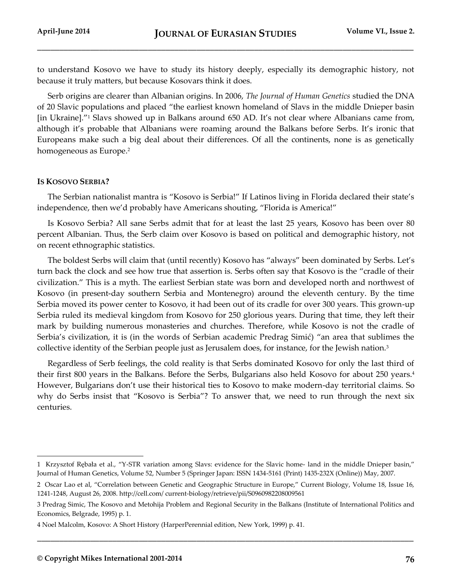to understand Kosovo we have to study its history deeply, especially its demographic history, not because it truly matters, but because Kosovars think it does.

Serb origins are clearer than Albanian origins. In 2006, *The Journal of Human Genetics* studied the DNA of 20 Slavic populations and placed "the earliest known homeland of Slavs in the middle Dnieper basin [in Ukraine]."<sup>1</sup> Slavs showed up in Balkans around 650 AD. It's not clear where Albanians came from, although it's probable that Albanians were roaming around the Balkans before Serbs. It's ironic that Europeans make such a big deal about their differences. Of all the continents, none is as genetically homogeneous as Europe.<sup>2</sup>

### **IS KOSOVO SERBIA?**

l

The Serbian nationalist mantra is "Kosovo is Serbia!" If Latinos living in Florida declared their state's independence, then we'd probably have Americans shouting, "Florida is America!"

Is Kosovo Serbia? All sane Serbs admit that for at least the last 25 years, Kosovo has been over 80 percent Albanian. Thus, the Serb claim over Kosovo is based on political and demographic history, not on recent ethnographic statistics.

The boldest Serbs will claim that (until recently) Kosovo has "always" been dominated by Serbs. Let's turn back the clock and see how true that assertion is. Serbs often say that Kosovo is the "cradle of their civilization." This is a myth. The earliest Serbian state was born and developed north and northwest of Kosovo (in present-day southern Serbia and Montenegro) around the eleventh century. By the time Serbia moved its power center to Kosovo, it had been out of its cradle for over 300 years. This grown-up Serbia ruled its medieval kingdom from Kosovo for 250 glorious years. During that time, they left their mark by building numerous monasteries and churches. Therefore, while Kosovo is not the cradle of Serbia's civilization, it is (in the words of Serbian academic Predrag Simić) "an area that sublimes the collective identity of the Serbian people just as Jerusalem does, for instance, for the Jewish nation.<sup>3</sup>

Regardless of Serb feelings, the cold reality is that Serbs dominated Kosovo for only the last third of their first 800 years in the Balkans. Before the Serbs, Bulgarians also held Kosovo for about 250 years.<sup>4</sup> However, Bulgarians don't use their historical ties to Kosovo to make modern-day territorial claims. So why do Serbs insist that "Kosovo is Serbia"? To answer that, we need to run through the next six centuries.

<sup>1</sup> Krzysztof Rębała et al., "Y-STR variation among Slavs: evidence for the Slavic home- land in the middle Dnieper basin," Journal of Human Genetics, Volume 52, Number 5 (Springer Japan: ISSN 1434-5161 (Print) 1435-232X (Online)) May, 2007.

<sup>2</sup> Oscar Lao et al, "Correlation between Genetic and Geographic Structure in Europe," Current Biology, Volume 18, Issue 16, 1241-1248, August 26, 2008. http://cell.com/ current-biology/retrieve/pii/S0960982208009561

<sup>3</sup> Predrag Simic, The Kosovo and Metohija Problem and Regional Security in the Balkans (Institute of International Politics and Economics, Belgrade, 1995) p. 1.

<sup>4</sup> Noel Malcolm, Kosovo: A Short History (HarperPerennial edition, New York, 1999) p. 41.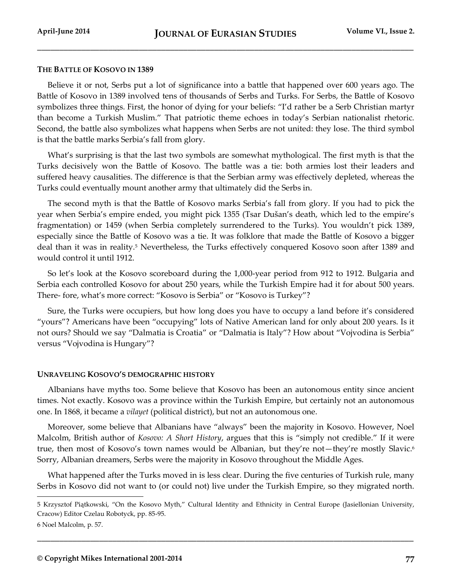#### **THE BATTLE OF KOSOVO IN 1389**

Believe it or not, Serbs put a lot of significance into a battle that happened over 600 years ago. The Battle of Kosovo in 1389 involved tens of thousands of Serbs and Turks. For Serbs, the Battle of Kosovo symbolizes three things. First, the honor of dying for your beliefs: "I'd rather be a Serb Christian martyr than become a Turkish Muslim." That patriotic theme echoes in today's Serbian nationalist rhetoric. Second, the battle also symbolizes what happens when Serbs are not united: they lose. The third symbol is that the battle marks Serbia's fall from glory.

What's surprising is that the last two symbols are somewhat mythological. The first myth is that the Turks decisively won the Battle of Kosovo. The battle was a tie: both armies lost their leaders and suffered heavy causalities. The difference is that the Serbian army was effectively depleted, whereas the Turks could eventually mount another army that ultimately did the Serbs in.

The second myth is that the Battle of Kosovo marks Serbia's fall from glory. If you had to pick the year when Serbia's empire ended, you might pick 1355 (Tsar Dušan's death, which led to the empire's fragmentation) or 1459 (when Serbia completely surrendered to the Turks). You wouldn't pick 1389, especially since the Battle of Kosovo was a tie. It was folklore that made the Battle of Kosovo a bigger deal than it was in reality.<sup>5</sup> Nevertheless, the Turks effectively conquered Kosovo soon after 1389 and would control it until 1912.

So let's look at the Kosovo scoreboard during the 1,000-year period from 912 to 1912. Bulgaria and Serbia each controlled Kosovo for about 250 years, while the Turkish Empire had it for about 500 years. There- fore, what's more correct: "Kosovo is Serbia" or "Kosovo is Turkey"?

Sure, the Turks were occupiers, but how long does you have to occupy a land before it's considered "yours"? Americans have been "occupying" lots of Native American land for only about 200 years. Is it not ours? Should we say "Dalmatia is Croatia" or "Dalmatia is Italy"? How about "Vojvodina is Serbia" versus "Vojvodina is Hungary"?

#### **UNRAVELING KOSOVO'S DEMOGRAPHIC HISTORY**

Albanians have myths too. Some believe that Kosovo has been an autonomous entity since ancient times. Not exactly. Kosovo was a province within the Turkish Empire, but certainly not an autonomous one. In 1868, it became a *vilayet* (political district), but not an autonomous one.

Moreover, some believe that Albanians have "always" been the majority in Kosovo. However, Noel Malcolm, British author of *Kosovo: A Short History*, argues that this is "simply not credible." If it were true, then most of Kosovo's town names would be Albanian, but they're not—they're mostly Slavic.<sup>6</sup> Sorry, Albanian dreamers, Serbs were the majority in Kosovo throughout the Middle Ages.

What happened after the Turks moved in is less clear. During the five centuries of Turkish rule, many Serbs in Kosovo did not want to (or could not) live under the Turkish Empire, so they migrated north.

**\_\_\_\_\_\_\_\_\_\_\_\_\_\_\_\_\_\_\_\_\_\_\_\_\_\_\_\_\_\_\_\_\_\_\_\_\_\_\_\_\_\_\_\_\_\_\_\_\_\_\_\_\_\_\_\_\_\_\_\_\_\_\_\_\_\_\_\_\_\_\_\_\_\_\_\_\_\_\_\_\_\_\_\_\_**

<sup>5</sup> Krzysztof Piątkowski, "On the Kosovo Myth," Cultural Identity and Ethnicity in Central Europe (Jasiellonian University, Cracow) Editor Czelau Robotyck, pp. 85-95.

<sup>6</sup> Noel Malcolm, p. 57.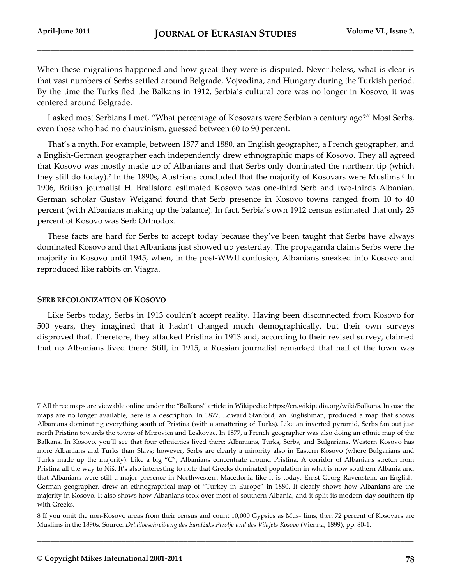When these migrations happened and how great they were is disputed. Nevertheless, what is clear is that vast numbers of Serbs settled around Belgrade, Vojvodina, and Hungary during the Turkish period. By the time the Turks fled the Balkans in 1912, Serbia's cultural core was no longer in Kosovo, it was centered around Belgrade.

I asked most Serbians I met, "What percentage of Kosovars were Serbian a century ago?" Most Serbs, even those who had no chauvinism, guessed between 60 to 90 percent.

That's a myth. For example, between 1877 and 1880, an English geographer, a French geographer, and a English-German geographer each independently drew ethnographic maps of Kosovo. They all agreed that Kosovo was mostly made up of Albanians and that Serbs only dominated the northern tip (which they still do today).<sup>7</sup> In the 1890s, Austrians concluded that the majority of Kosovars were Muslims.<sup>8</sup> In 1906, British journalist H. Brailsford estimated Kosovo was one-third Serb and two-thirds Albanian. German scholar Gustav Weigand found that Serb presence in Kosovo towns ranged from 10 to 40 percent (with Albanians making up the balance). In fact, Serbia's own 1912 census estimated that only 25 percent of Kosovo was Serb Orthodox.

These facts are hard for Serbs to accept today because they've been taught that Serbs have always dominated Kosovo and that Albanians just showed up yesterday. The propaganda claims Serbs were the majority in Kosovo until 1945, when, in the post-WWII confusion, Albanians sneaked into Kosovo and reproduced like rabbits on Viagra.

### **SERB RECOLONIZATION OF KOSOVO**

l

Like Serbs today, Serbs in 1913 couldn't accept reality. Having been disconnected from Kosovo for 500 years, they imagined that it hadn't changed much demographically, but their own surveys disproved that. Therefore, they attacked Pristina in 1913 and, according to their revised survey, claimed that no Albanians lived there. Still, in 1915, a Russian journalist remarked that half of the town was

<sup>7</sup> All three maps are viewable online under the "Balkans" article in Wikipedia: https://en.wikipedia.org/wiki/Balkans. In case the maps are no longer available, here is a description. In 1877, Edward Stanford, an Englishman, produced a map that shows Albanians dominating everything south of Pristina (with a smattering of Turks). Like an inverted pyramid, Serbs fan out just north Pristina towards the towns of Mitrovica and Leskovac. In 1877, a French geographer was also doing an ethnic map of the Balkans. In Kosovo, you'll see that four ethnicities lived there: Albanians, Turks, Serbs, and Bulgarians. Western Kosovo has more Albanians and Turks than Slavs; however, Serbs are clearly a minority also in Eastern Kosovo (where Bulgarians and Turks made up the majority). Like a big "C", Albanians concentrate around Pristina. A corridor of Albanians stretch from Pristina all the way to Niš. It's also interesting to note that Greeks dominated population in what is now southern Albania and that Albanians were still a major presence in Northwestern Macedonia like it is today. Ernst Georg Ravenstein, an English-German geographer, drew an ethnographical map of "Turkey in Europe" in 1880. It clearly shows how Albanians are the majority in Kosovo. It also shows how Albanians took over most of southern Albania, and it split its modern-day southern tip with Greeks.

<sup>8</sup> If you omit the non-Kosovo areas from their census and count 10,000 Gypsies as Mus- lims, then 72 percent of Kosovars are Muslims in the 1890s. Source: *Detailbeschreibung des Sandžaks Plevlje und des Vilajets Kosovo* (Vienna, 1899), pp. 80-1.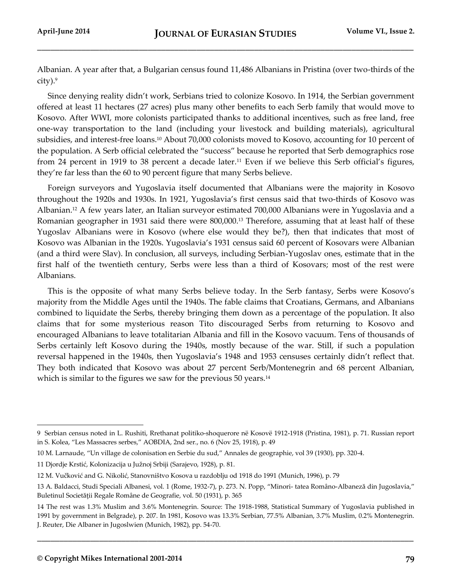Albanian. A year after that, a Bulgarian census found 11,486 Albanians in Pristina (over two-thirds of the  $city).<sup>9</sup>$ 

Since denying reality didn't work, Serbians tried to colonize Kosovo. In 1914, the Serbian government offered at least 11 hectares (27 acres) plus many other benefits to each Serb family that would move to Kosovo. After WWI, more colonists participated thanks to additional incentives, such as free land, free one-way transportation to the land (including your livestock and building materials), agricultural subsidies, and interest-free loans.<sup>10</sup> About 70,000 colonists moved to Kosovo, accounting for 10 percent of the population. A Serb official celebrated the "success" because he reported that Serb demographics rose from 24 percent in 1919 to 38 percent a decade later.<sup>11</sup> Even if we believe this Serb official's figures, they're far less than the 60 to 90 percent figure that many Serbs believe.

Foreign surveyors and Yugoslavia itself documented that Albanians were the majority in Kosovo throughout the 1920s and 1930s. In 1921, Yugoslavia's first census said that two-thirds of Kosovo was Albanian.<sup>12</sup> A few years later, an Italian surveyor estimated 700,000 Albanians were in Yugoslavia and a Romanian geographer in 1931 said there were 800,000.<sup>13</sup> Therefore, assuming that at least half of these Yugoslav Albanians were in Kosovo (where else would they be?), then that indicates that most of Kosovo was Albanian in the 1920s. Yugoslavia's 1931 census said 60 percent of Kosovars were Albanian (and a third were Slav). In conclusion, all surveys, including Serbian-Yugoslav ones, estimate that in the first half of the twentieth century, Serbs were less than a third of Kosovars; most of the rest were Albanians.

This is the opposite of what many Serbs believe today. In the Serb fantasy, Serbs were Kosovo's majority from the Middle Ages until the 1940s. The fable claims that Croatians, Germans, and Albanians combined to liquidate the Serbs, thereby bringing them down as a percentage of the population. It also claims that for some mysterious reason Tito discouraged Serbs from returning to Kosovo and encouraged Albanians to leave totalitarian Albania and fill in the Kosovo vacuum. Tens of thousands of Serbs certainly left Kosovo during the 1940s, mostly because of the war. Still, if such a population reversal happened in the 1940s, then Yugoslavia's 1948 and 1953 censuses certainly didn't reflect that. They both indicated that Kosovo was about 27 percent Serb/Montenegrin and 68 percent Albanian, which is similar to the figures we saw for the previous 50 years.<sup>14</sup>

**\_\_\_\_\_\_\_\_\_\_\_\_\_\_\_\_\_\_\_\_\_\_\_\_\_\_\_\_\_\_\_\_\_\_\_\_\_\_\_\_\_\_\_\_\_\_\_\_\_\_\_\_\_\_\_\_\_\_\_\_\_\_\_\_\_\_\_\_\_\_\_\_\_\_\_\_\_\_\_\_\_\_\_\_\_**

<sup>9</sup> Serbian census noted in L. Rushiti, Rrethanat politiko-shoquerore në Kosovë 1912-1918 (Pristina, 1981), p. 71. Russian report in S. Kolea, "Les Massacres serbes," AOBDIA, 2nd ser., no. 6 (Nov 25, 1918), p. 49

<sup>10</sup> M. Larnaude, "Un village de colonisation en Serbie du sud," Annales de geographie, vol 39 (1930), pp. 320-4.

<sup>11</sup> Djordje Krstić, Kolonizacija u Južnoj Srbiji (Sarajevo, 1928), p. 81.

<sup>12</sup> M. Vučković and G. Nikolić, Stanovništvo Kosova u razdoblju od 1918 do 1991 (Munich, 1996), p. 79

<sup>13</sup> A. Baldacci, Studi Speciali Albanesi, vol. 1 (Rome, 1932-7), p. 273. N. Popp, "Minori- tatea Româno-Albaneză din Jugoslavia," Buletinul Societăţii Regale Române de Geografie, vol. 50 (1931), p. 365

<sup>14</sup> The rest was 1.3% Muslim and 3.6% Montenegrin. Source: The 1918-1988, Statistical Summary of Yugoslavia published in 1991 by government in Belgrade), p. 207. In 1981, Kosovo was 13.3% Serbian, 77.5% Albanian, 3.7% Muslim, 0.2% Montenegrin. J. Reuter, Die Albaner in Jugoslwien (Munich, 1982), pp. 54-70.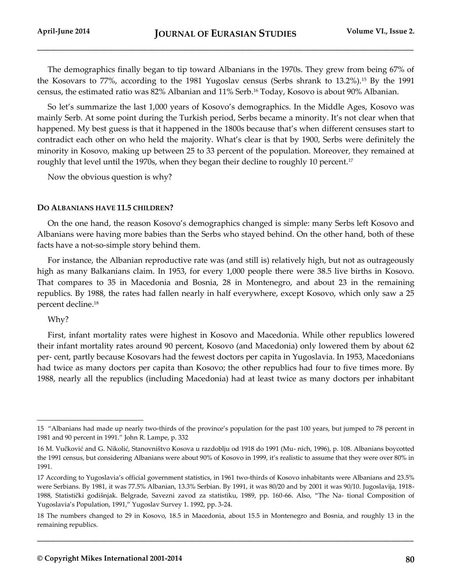The demographics finally began to tip toward Albanians in the 1970s. They grew from being 67% of the Kosovars to 77%, according to the 1981 Yugoslav census (Serbs shrank to 13.2%).<sup>15</sup> By the 1991 census, the estimated ratio was 82% Albanian and 11% Serb.<sup>16</sup> Today, Kosovo is about 90% Albanian.

So let's summarize the last 1,000 years of Kosovo's demographics. In the Middle Ages, Kosovo was mainly Serb. At some point during the Turkish period, Serbs became a minority. It's not clear when that happened. My best guess is that it happened in the 1800s because that's when different censuses start to contradict each other on who held the majority. What's clear is that by 1900, Serbs were definitely the minority in Kosovo, making up between 25 to 33 percent of the population. Moreover, they remained at roughly that level until the 1970s, when they began their decline to roughly 10 percent.<sup>17</sup>

Now the obvious question is why?

### **DO ALBANIANS HAVE 11.5 CHILDREN?**

On the one hand, the reason Kosovo's demographics changed is simple: many Serbs left Kosovo and Albanians were having more babies than the Serbs who stayed behind. On the other hand, both of these facts have a not-so-simple story behind them.

For instance, the Albanian reproductive rate was (and still is) relatively high, but not as outrageously high as many Balkanians claim. In 1953, for every 1,000 people there were 38.5 live births in Kosovo. That compares to 35 in Macedonia and Bosnia, 28 in Montenegro, and about 23 in the remaining republics. By 1988, the rates had fallen nearly in half everywhere, except Kosovo, which only saw a 25 percent decline.<sup>18</sup>

### Why?

l

First, infant mortality rates were highest in Kosovo and Macedonia. While other republics lowered their infant mortality rates around 90 percent, Kosovo (and Macedonia) only lowered them by about 62 per- cent, partly because Kosovars had the fewest doctors per capita in Yugoslavia. In 1953, Macedonians had twice as many doctors per capita than Kosovo; the other republics had four to five times more. By 1988, nearly all the republics (including Macedonia) had at least twice as many doctors per inhabitant

<sup>15</sup> "Albanians had made up nearly two-thirds of the province's population for the past 100 years, but jumped to 78 percent in 1981 and 90 percent in 1991." John R. Lampe, p. 332

<sup>16</sup> M. Vučković and G. Nikolić, Stanovništvo Kosova u razdoblju od 1918 do 1991 (Mu- nich, 1996), p. 108. Albanians boycotted the 1991 census, but considering Albanians were about 90% of Kosovo in 1999, it's realistic to assume that they were over 80% in 1991.

<sup>17</sup> According to Yugoslavia's official government statistics, in 1961 two-thirds of Kosovo inhabitants were Albanians and 23.5% were Serbians. By 1981, it was 77.5% Albanian, 13.3% Serbian. By 1991, it was 80/20 and by 2001 it was 90/10. Jugoslavija, 1918- 1988, Statistički godišnjak. Belgrade, Savezni zavod za statistiku, 1989, pp. 160-66. Also, "The Na- tional Composition of Yugoslavia's Population, 1991," Yugoslav Survey 1. 1992, pp. 3-24.

<sup>18</sup> The numbers changed to 29 in Kosovo, 18.5 in Macedonia, about 15.5 in Montenegro and Bosnia, and roughly 13 in the remaining republics.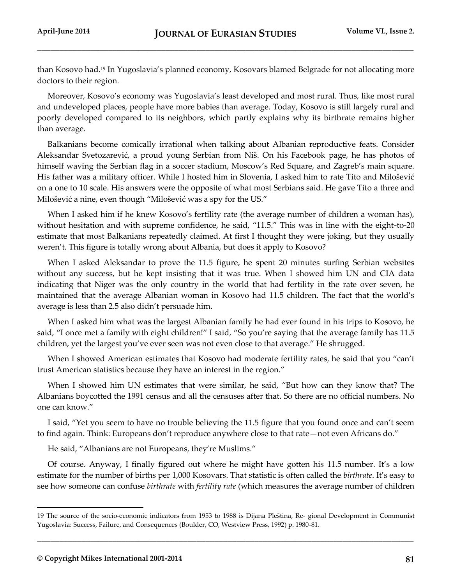than Kosovo had.<sup>19</sup> In Yugoslavia's planned economy, Kosovars blamed Belgrade for not allocating more doctors to their region.

Moreover, Kosovo's economy was Yugoslavia's least developed and most rural. Thus, like most rural and undeveloped places, people have more babies than average. Today, Kosovo is still largely rural and poorly developed compared to its neighbors, which partly explains why its birthrate remains higher than average.

Balkanians become comically irrational when talking about Albanian reproductive feats. Consider Aleksandar Svetozarević, a proud young Serbian from Niš. On his Facebook page, he has photos of himself waving the Serbian flag in a soccer stadium, Moscow's Red Square, and Zagreb's main square. His father was a military officer. While I hosted him in Slovenia, I asked him to rate Tito and Milošević on a one to 10 scale. His answers were the opposite of what most Serbians said. He gave Tito a three and Milošević a nine, even though "Milošević was a spy for the US."

When I asked him if he knew Kosovo's fertility rate (the average number of children a woman has), without hesitation and with supreme confidence, he said, "11.5." This was in line with the eight-to-20 estimate that most Balkanians repeatedly claimed. At first I thought they were joking, but they usually weren't. This figure is totally wrong about Albania, but does it apply to Kosovo?

When I asked Aleksandar to prove the 11.5 figure, he spent 20 minutes surfing Serbian websites without any success, but he kept insisting that it was true. When I showed him UN and CIA data indicating that Niger was the only country in the world that had fertility in the rate over seven, he maintained that the average Albanian woman in Kosovo had 11.5 children. The fact that the world's average is less than 2.5 also didn't persuade him.

When I asked him what was the largest Albanian family he had ever found in his trips to Kosovo, he said, "I once met a family with eight children!" I said, "So you're saying that the average family has 11.5 children, yet the largest you've ever seen was not even close to that average." He shrugged.

When I showed American estimates that Kosovo had moderate fertility rates, he said that you "can't trust American statistics because they have an interest in the region."

When I showed him UN estimates that were similar, he said, "But how can they know that? The Albanians boycotted the 1991 census and all the censuses after that. So there are no official numbers. No one can know."

I said, "Yet you seem to have no trouble believing the 11.5 figure that you found once and can't seem to find again. Think: Europeans don't reproduce anywhere close to that rate—not even Africans do."

He said, "Albanians are not Europeans, they're Muslims."

Of course. Anyway, I finally figured out where he might have gotten his 11.5 number. It's a low estimate for the number of births per 1,000 Kosovars. That statistic is often called the *birthrate*. It's easy to see how someone can confuse *birthrate* with *fertility rate* (which measures the average number of children

**\_\_\_\_\_\_\_\_\_\_\_\_\_\_\_\_\_\_\_\_\_\_\_\_\_\_\_\_\_\_\_\_\_\_\_\_\_\_\_\_\_\_\_\_\_\_\_\_\_\_\_\_\_\_\_\_\_\_\_\_\_\_\_\_\_\_\_\_\_\_\_\_\_\_\_\_\_\_\_\_\_\_\_\_\_**

<sup>19</sup> The source of the socio-economic indicators from 1953 to 1988 is Dijana Pleština, Re- gional Development in Communist Yugoslavia: Success, Failure, and Consequences (Boulder, CO, Westview Press, 1992) p. 1980-81.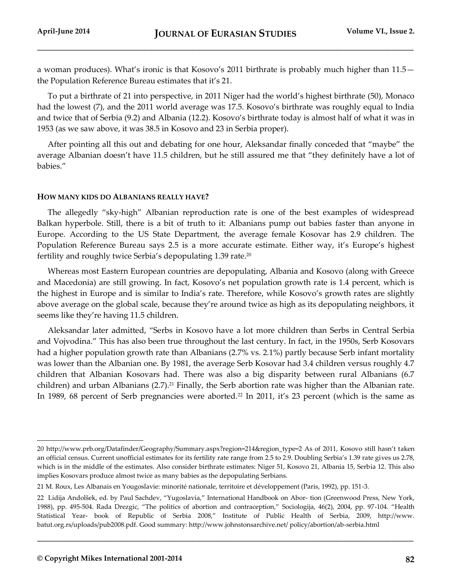a woman produces). What's ironic is that Kosovo's 2011 birthrate is probably much higher than 11.5 the Population Reference Bureau estimates that it's 21.

To put a birthrate of 21 into perspective, in 2011 Niger had the world's highest birthrate (50), Monaco had the lowest (7), and the 2011 world average was 17.5. Kosovo's birthrate was roughly equal to India and twice that of Serbia (9.2) and Albania (12.2). Kosovo's birthrate today is almost half of what it was in 1953 (as we saw above, it was 38.5 in Kosovo and 23 in Serbia proper).

After pointing all this out and debating for one hour, Aleksandar finally conceded that "maybe" the average Albanian doesn't have 11.5 children, but he still assured me that "they definitely have a lot of babies."

### **HOW MANY KIDS DO ALBANIANS REALLY HAVE?**

The allegedly "sky-high" Albanian reproduction rate is one of the best examples of widespread Balkan hyperbole. Still, there is a bit of truth to it: Albanians pump out babies faster than anyone in Europe. According to the US State Department, the average female Kosovar has 2.9 children. The Population Reference Bureau says 2.5 is a more accurate estimate. Either way, it's Europe's highest fertility and roughly twice Serbia's depopulating 1.39 rate.<sup>20</sup>

Whereas most Eastern European countries are depopulating, Albania and Kosovo (along with Greece and Macedonia) are still growing. In fact, Kosovo's net population growth rate is 1.4 percent, which is the highest in Europe and is similar to India's rate. Therefore, while Kosovo's growth rates are slightly above average on the global scale, because they're around twice as high as its depopulating neighbors, it seems like they're having 11.5 children.

Aleksandar later admitted, "Serbs in Kosovo have a lot more children than Serbs in Central Serbia and Vojvodina." This has also been true throughout the last century. In fact, in the 1950s, Serb Kosovars had a higher population growth rate than Albanians (2.7% vs. 2.1%) partly because Serb infant mortality was lower than the Albanian one. By 1981, the average Serb Kosovar had 3.4 children versus roughly 4.7 children that Albanian Kosovars had. There was also a big disparity between rural Albanians (6.7 children) and urban Albanians  $(2.7).^{21}$  Finally, the Serb abortion rate was higher than the Albanian rate. In 1989, 68 percent of Serb pregnancies were aborted.<sup>22</sup> In 2011, it's 23 percent (which is the same as

**\_\_\_\_\_\_\_\_\_\_\_\_\_\_\_\_\_\_\_\_\_\_\_\_\_\_\_\_\_\_\_\_\_\_\_\_\_\_\_\_\_\_\_\_\_\_\_\_\_\_\_\_\_\_\_\_\_\_\_\_\_\_\_\_\_\_\_\_\_\_\_\_\_\_\_\_\_\_\_\_\_\_\_\_\_**

<sup>20</sup> http://www.prb.org/Datafinder/Geography/Summary.aspx?region=214&region\_type=2 As of 2011, Kosovo still hasn't taken an official census. Current unofficial estimates for its fertility rate range from 2.5 to 2.9. Doubling Serbia's 1.39 rate gives us 2.78, which is in the middle of the estimates. Also consider birthrate estimates: Niger 51, Kosovo 21, Albania 15, Serbia 12. This also implies Kosovars produce almost twice as many babies as the depopulating Serbians.

<sup>21</sup> M. Roux, Les Albanais en Yougoslavie: minorité nationale, territoire et développement (Paris, 1992), pp. 151-3.

<sup>22</sup> Lidija Andolšek, ed. by Paul Sachdev, "Yugoslavia," International Handbook on Abor- tion (Greenwood Press, New York, 1988), pp. 495-504. Rada Drezgic, "The politics of abortion and contraception," Sociologija, 46(2), 2004, pp. 97-104. "Health Statistical Year- book of Republic of Serbia 2008," Institute of Public Health of Serbia, 2009, http://www. batut.org.rs/uploads/pub2008.pdf. Good summary: http://www.johnstonsarchive.net/ policy/abortion/ab-serbia.html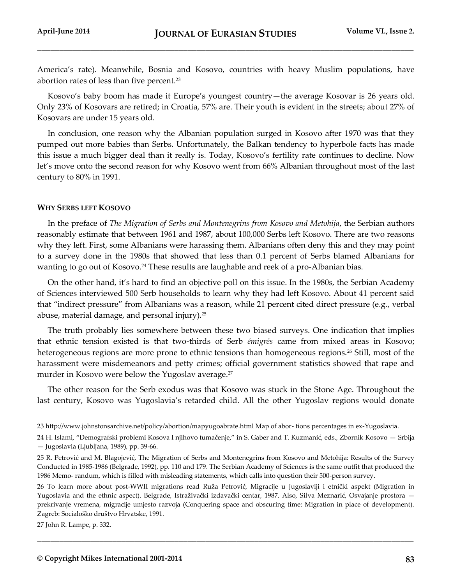America's rate). Meanwhile, Bosnia and Kosovo, countries with heavy Muslim populations, have abortion rates of less than five percent.<sup>23</sup>

Kosovo's baby boom has made it Europe's youngest country—the average Kosovar is 26 years old. Only 23% of Kosovars are retired; in Croatia, 57% are. Their youth is evident in the streets; about 27% of Kosovars are under 15 years old.

In conclusion, one reason why the Albanian population surged in Kosovo after 1970 was that they pumped out more babies than Serbs. Unfortunately, the Balkan tendency to hyperbole facts has made this issue a much bigger deal than it really is. Today, Kosovo's fertility rate continues to decline. Now let's move onto the second reason for why Kosovo went from 66% Albanian throughout most of the last century to 80% in 1991.

#### **WHY SERBS LEFT KOSOVO**

In the preface of *The Migration of Serbs and Montenegrins from Kosovo and Metohija*, the Serbian authors reasonably estimate that between 1961 and 1987, about 100,000 Serbs left Kosovo. There are two reasons why they left. First, some Albanians were harassing them. Albanians often deny this and they may point to a survey done in the 1980s that showed that less than 0.1 percent of Serbs blamed Albanians for wanting to go out of Kosovo.<sup>24</sup> These results are laughable and reek of a pro-Albanian bias.

On the other hand, it's hard to find an objective poll on this issue. In the 1980s, the Serbian Academy of Sciences interviewed 500 Serb households to learn why they had left Kosovo. About 41 percent said that "indirect pressure" from Albanians was a reason, while 21 percent cited direct pressure (e.g., verbal abuse, material damage, and personal injury).<sup>25</sup>

The truth probably lies somewhere between these two biased surveys. One indication that implies that ethnic tension existed is that two-thirds of Serb *émigrés* came from mixed areas in Kosovo; heterogeneous regions are more prone to ethnic tensions than homogeneous regions.<sup>26</sup> Still, most of the harassment were misdemeanors and petty crimes; official government statistics showed that rape and murder in Kosovo were below the Yugoslav average.<sup>27</sup>

The other reason for the Serb exodus was that Kosovo was stuck in the Stone Age. Throughout the last century, Kosovo was Yugoslavia's retarded child. All the other Yugoslav regions would donate

**\_\_\_\_\_\_\_\_\_\_\_\_\_\_\_\_\_\_\_\_\_\_\_\_\_\_\_\_\_\_\_\_\_\_\_\_\_\_\_\_\_\_\_\_\_\_\_\_\_\_\_\_\_\_\_\_\_\_\_\_\_\_\_\_\_\_\_\_\_\_\_\_\_\_\_\_\_\_\_\_\_\_\_\_\_**

<sup>23</sup> http://www.johnstonsarchive.net/policy/abortion/mapyugoabrate.html Map of abor- tions percentages in ex-Yugoslavia.

<sup>24</sup> H. Islami, "Demografski problemi Kosova I njihovo tumačenje," in S. Gaber and T. Kuzmanić, eds., Zbornik Kosovo — Srbija — Jugoslavia (Ljubljana, 1989), pp. 39-66.

<sup>25</sup> R. Petrović and M. Blagojević, The Migration of Serbs and Montenegrins from Kosovo and Metohija: Results of the Survey Conducted in 1985-1986 (Belgrade, 1992), pp. 110 and 179. The Serbian Academy of Sciences is the same outfit that produced the 1986 Memo- randum, which is filled with misleading statements, which calls into question their 500-person survey.

<sup>26</sup> To learn more about post-WWII migrations read Ruža Petrović, Migracije u Jugoslaviji i etnički aspekt (Migration in Yugoslavia and the ethnic aspect). Belgrade, Istraživački izdavački centar, 1987. Also, Silva Meznarić, Osvajanje prostora prekrivanje vremena, migracije umjesto razvoja (Conquering space and obscuring time: Migration in place of development). Zagreb: Socialoško društvo Hrvatske, 1991.

<sup>27</sup> John R. Lampe, p. 332.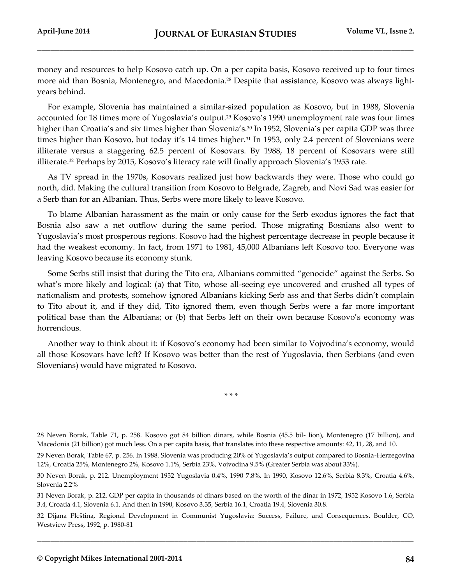money and resources to help Kosovo catch up. On a per capita basis, Kosovo received up to four times more aid than Bosnia, Montenegro, and Macedonia.<sup>28</sup> Despite that assistance, Kosovo was always lightyears behind.

For example, Slovenia has maintained a similar-sized population as Kosovo, but in 1988, Slovenia accounted for 18 times more of Yugoslavia's output.<sup>29</sup> Kosovo's 1990 unemployment rate was four times higher than Croatia's and six times higher than Slovenia's.<sup>30</sup> In 1952, Slovenia's per capita GDP was three times higher than Kosovo, but today it's 14 times higher.<sup>31</sup> In 1953, only 2.4 percent of Slovenians were illiterate versus a staggering 62.5 percent of Kosovars. By 1988, 18 percent of Kosovars were still illiterate.<sup>32</sup> Perhaps by 2015, Kosovo's literacy rate will finally approach Slovenia's 1953 rate.

As TV spread in the 1970s, Kosovars realized just how backwards they were. Those who could go north, did. Making the cultural transition from Kosovo to Belgrade, Zagreb, and Novi Sad was easier for a Serb than for an Albanian. Thus, Serbs were more likely to leave Kosovo.

To blame Albanian harassment as the main or only cause for the Serb exodus ignores the fact that Bosnia also saw a net outflow during the same period. Those migrating Bosnians also went to Yugoslavia's most prosperous regions. Kosovo had the highest percentage decrease in people because it had the weakest economy. In fact, from 1971 to 1981, 45,000 Albanians left Kosovo too. Everyone was leaving Kosovo because its economy stunk.

Some Serbs still insist that during the Tito era, Albanians committed "genocide" against the Serbs. So what's more likely and logical: (a) that Tito, whose all-seeing eye uncovered and crushed all types of nationalism and protests, somehow ignored Albanians kicking Serb ass and that Serbs didn't complain to Tito about it, and if they did, Tito ignored them, even though Serbs were a far more important political base than the Albanians; or (b) that Serbs left on their own because Kosovo's economy was horrendous.

Another way to think about it: if Kosovo's economy had been similar to Vojvodina's economy, would all those Kosovars have left? If Kosovo was better than the rest of Yugoslavia, then Serbians (and even Slovenians) would have migrated *to* Kosovo.

\* \* \*

**\_\_\_\_\_\_\_\_\_\_\_\_\_\_\_\_\_\_\_\_\_\_\_\_\_\_\_\_\_\_\_\_\_\_\_\_\_\_\_\_\_\_\_\_\_\_\_\_\_\_\_\_\_\_\_\_\_\_\_\_\_\_\_\_\_\_\_\_\_\_\_\_\_\_\_\_\_\_\_\_\_\_\_\_\_**

<sup>28</sup> Neven Borak, Table 71, p. 258. Kosovo got 84 billion dinars, while Bosnia (45.5 bil- lion), Montenegro (17 billion), and Macedonia (21 billion) got much less. On a per capita basis, that translates into these respective amounts: 42, 11, 28, and 10.

<sup>29</sup> Neven Borak, Table 67, p. 256. In 1988. Slovenia was producing 20% of Yugoslavia's output compared to Bosnia-Herzegovina 12%, Croatia 25%, Montenegro 2%, Kosovo 1.1%, Serbia 23%, Vojvodina 9.5% (Greater Serbia was about 33%).

<sup>30</sup> Neven Borak, p. 212. Unemployment 1952 Yugoslavia 0.4%, 1990 7.8%. In 1990, Kosovo 12.6%, Serbia 8.3%, Croatia 4.6%, Slovenia 2.2%

<sup>31</sup> Neven Borak, p. 212. GDP per capita in thousands of dinars based on the worth of the dinar in 1972, 1952 Kosovo 1.6, Serbia 3.4, Croatia 4.1, Slovenia 6.1. And then in 1990, Kosovo 3.35, Serbia 16.1, Croatia 19.4, Slovenia 30.8.

<sup>32</sup> Dijana Pleština, Regional Development in Communist Yugoslavia: Success, Failure, and Consequences. Boulder, CO, Westview Press, 1992, p. 1980-81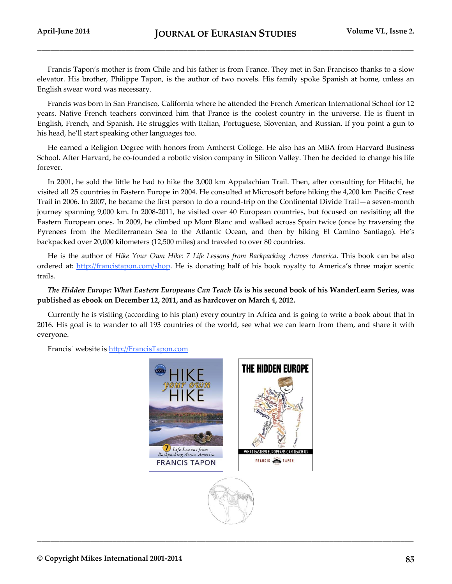Francis Tapon's mother is from Chile and his father is from France. They met in San Francisco thanks to a slow elevator. His brother, Philippe Tapon, is the author of two novels. His family spoke Spanish at home, unless an English swear word was necessary.

Francis was born in San Francisco, California where he attended the French American International School for 12 years. Native French teachers convinced him that France is the coolest country in the universe. He is fluent in English, French, and Spanish. He struggles with Italian, Portuguese, Slovenian, and Russian. If you point a gun to his head, he'll start speaking other languages too.

He earned a Religion Degree with honors from Amherst College. He also has an MBA from Harvard Business School. After Harvard, he co-founded a robotic vision company in Silicon Valley. Then he decided to change his life forever.

In 2001, he sold the little he had to hike the 3,000 km Appalachian Trail. Then, after consulting for Hitachi, he visited all 25 countries in Eastern Europe in 2004. He consulted at Microsoft before hiking the 4,200 km Pacific Crest Trail in 2006. In 2007, he became the first person to do a round-trip on the Continental Divide Trail—a seven-month journey spanning 9,000 km. In 2008-2011, he visited over 40 European countries, but focused on revisiting all the Eastern European ones. In 2009, he climbed up Mont Blanc and walked across Spain twice (once by traversing the Pyrenees from the Mediterranean Sea to the Atlantic Ocean, and then by hiking El Camino Santiago). He's backpacked over 20,000 kilometers (12,500 miles) and traveled to over 80 countries.

He is the author of *Hike Your Own Hike: 7 Life Lessons from Backpacking Across America*. This book can be also ordered at:<http://francistapon.com/shop>. He is donating half of his book royalty to America's three major scenic trails.

*The Hidden Europe: What Eastern Europeans Can Teach Us* **is his second book of his WanderLearn Series, was published as ebook on December 12, 2011, and as hardcover on March 4, 2012.**

Currently he is visiting (according to his plan) every country in Africa and is going to write a book about that in 2016. His goal is to wander to all 193 countries of the world, see what we can learn from them, and share it with everyone.

Francis´ website is [http://FrancisTapon.com](http://francistapon.com/)

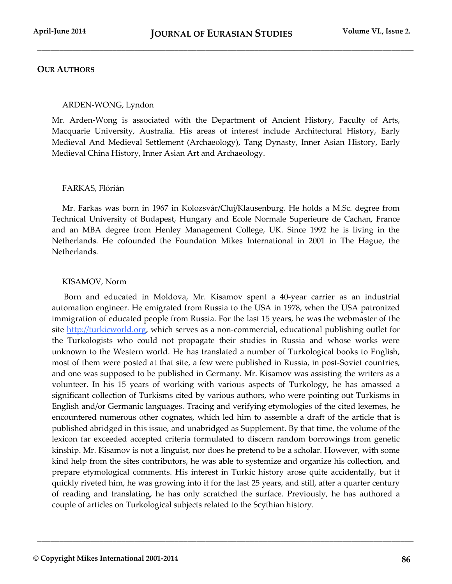\_\_\_\_\_\_\_\_\_\_\_\_\_\_\_\_\_\_\_\_\_\_\_\_\_\_\_\_\_\_\_\_\_\_\_\_\_\_\_\_\_\_\_\_\_\_\_\_\_\_\_\_\_\_\_\_\_\_\_\_\_\_\_\_\_\_\_\_\_\_\_\_\_\_\_\_\_\_\_\_\_\_\_\_\_

# **OUR AUTHORS**

## ARDEN-WONG, Lyndon

Mr. Arden-Wong is associated with the Department of Ancient History, Faculty of Arts, Macquarie University, Australia. His areas of interest include Architectural History, [Early](http://www.academia.edu/People/Early_Medieval_And_Medieval_Settlement_Archaeology_)  [Medieval And Medieval Settlement \(Archaeology\),](http://www.academia.edu/People/Early_Medieval_And_Medieval_Settlement_Archaeology_) [Tang Dynasty,](http://www.academia.edu/People/Tang_Dynasty) [Inner Asian History,](http://www.academia.edu/People/Inner_Asian_History) [Early](http://www.academia.edu/People/Early_Medieval_China_History)  [Medieval China History,](http://www.academia.edu/People/Early_Medieval_China_History) [Inner Asian Art and Archaeology.](http://www.academia.edu/People/Inner_Asian_Art_and_Archaeology)

## FARKAS, Flórián

Mr. Farkas was born in 1967 in Kolozsvár/Cluj/Klausenburg. He holds a M.Sc. degree from Technical University of Budapest, Hungary and Ecole Normale Superieure de Cachan, France and an MBA degree from Henley Management College, UK. Since 1992 he is living in the Netherlands. He cofounded the Foundation Mikes International in 2001 in The Hague, the Netherlands.

## KISAMOV, Norm

Born and educated in Moldova, Mr. Kisamov spent a 40-year carrier as an industrial automation engineer. He emigrated from Russia to the USA in 1978, when the USA patronized immigration of educated people from Russia. For the last 15 years, he was the webmaster of the site [http://turkicworld.org,](http://turkicworld.org/) which serves as a non-commercial, educational publishing outlet for the Turkologists who could not propagate their studies in Russia and whose works were unknown to the Western world. He has translated a number of Turkological books to English, most of them were posted at that site, a few were published in Russia, in post-Soviet countries, and one was supposed to be published in Germany. Mr. Kisamov was assisting the writers as a volunteer. In his 15 years of working with various aspects of Turkology, he has amassed a significant collection of Turkisms cited by various authors, who were pointing out Turkisms in English and/or Germanic languages. Tracing and verifying etymologies of the cited lexemes, he encountered numerous other cognates, which led him to assemble a draft of the article that is published abridged in this issue, and unabridged as Supplement. By that time, the volume of the lexicon far exceeded accepted criteria formulated to discern random borrowings from genetic kinship. Mr. Kisamov is not a linguist, nor does he pretend to be a scholar. However, with some kind help from the sites contributors, he was able to systemize and organize his collection, and prepare etymological comments. His interest in Turkic history arose quite accidentally, but it quickly riveted him, he was growing into it for the last 25 years, and still, after a quarter century of reading and translating, he has only scratched the surface. Previously, he has authored a couple of articles on Turkological subjects related to the Scythian history.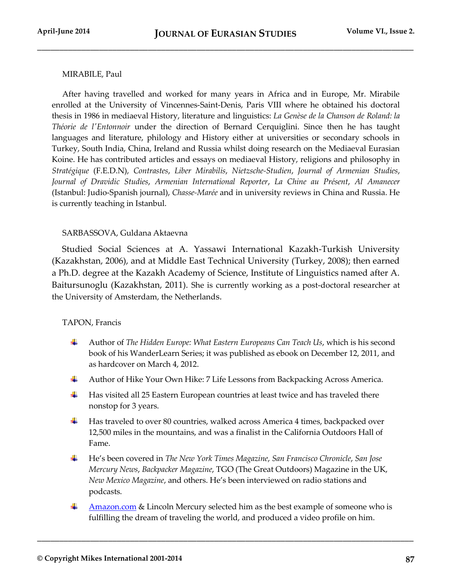## MIRABILE, Paul

After having travelled and worked for many years in Africa and in Europe, Mr. Mirabile enrolled at the University of Vincennes-Saint-Denis, Paris VIII where he obtained his doctoral thesis in 1986 in mediaeval History, literature and linguistics: *La Genèse de la Chanson de Roland: la Théorie de l'Entonnoir* under the direction of Bernard Cerquiglini. Since then he has taught languages and literature, philology and History either at universities or secondary schools in Turkey, South India, China, Ireland and Russia whilst doing research on the Mediaeval Eurasian Koine. He has contributed articles and essays on mediaeval History, religions and philosophy in *Stratégique* (F.E.D.N), *Contrastes*, *Liber Mirabilis*, *Nietzsche-Studien*, *Journal of Armenian Studies*, *Journal of Dravidic Studies*, *Armenian International Reporter*, *La Chine au Présent*, *Al Amanecer* (Istanbul: Judio-Spanish journal), *Chasse-Marée* and in university reviews in China and Russia. He is currently teaching in Istanbul.

## SARBASSOVA, Guldana Aktaevna

 Studied Social Sciences at A. Yassawi International Kazakh-Turkish University (Kazakhstan, 2006), and at Middle East Technical University (Turkey, 2008); then earned a Ph.D. degree at the Kazakh Academy of Science, Institute of Linguistics named after A. Baitursunoglu (Kazakhstan, 2011). She is currently working as a post-doctoral researcher at the University of Amsterdam, the Netherlands.

## TAPON, Francis

- ÷ Author of *The Hidden Europe: What Eastern Europeans Can Teach Us*, which is his second book of his WanderLearn Series; it was published as ebook on December 12, 2011, and as hardcover on March 4, 2012.
- ۰. Author of Hike Your Own Hike: 7 Life Lessons from Backpacking Across America.
- Has visited all 25 Eastern European countries at least twice and has traveled there ₩. nonstop for 3 years.
- ÷ Has traveled to over 80 countries, walked across America 4 times, backpacked over 12,500 miles in the mountains, and was a finalist in the California Outdoors Hall of Fame.
- 4 He's been covered in *The New York Times Magazine*, *San Francisco Chronicle*, *San Jose Mercury News*, *Backpacker Magazine*, TGO (The Great Outdoors) Magazine in the UK, *New Mexico Magazine*, and others. He's been interviewed on radio stations and podcasts.
- Amazon.com & Lincoln Mercury selected him as the best example of someone who is ۰. fulfilling the dream of traveling the world, and produced a video profile on him.